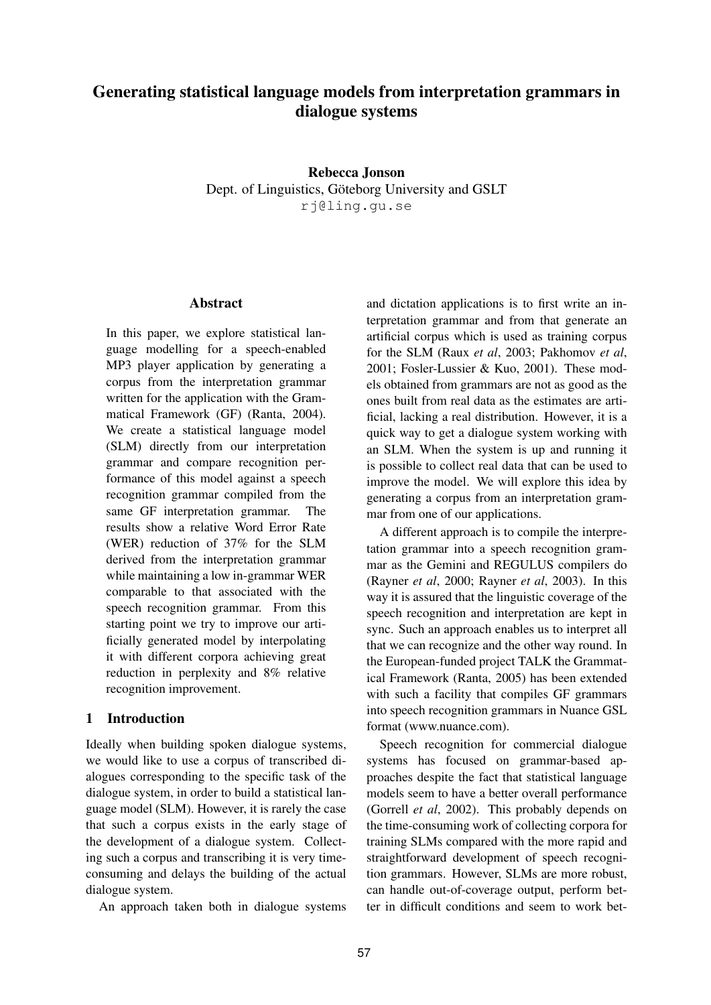# **Generating statistical language models from interpretation grammars in dialogue systems**

### **Rebecca Jonson**

Dept. of Linguistics, Göteborg University and GSLT rj@ling.gu.se

**Abstract**

In this paper, we explore statistical language modelling for a speech-enabled MP3 player application by generating a corpus from the interpretation grammar written for the application with the Grammatical Framework (GF) (Ranta, 2004). We create a statistical language model (SLM) directly from our interpretation grammar and compare recognition performance of this model against a speech recognition grammar compiled from the same GF interpretation grammar. The results show a relative Word Error Rate (WER) reduction of 37% for the SLM derived from the interpretation grammar while maintaining a low in-grammar WER comparable to that associated with the speech recognition grammar. From this starting point we try to improve our artificially generated model by interpolating it with different corpora achieving great reduction in perplexity and 8% relative recognition improvement.

## **1 Introduction**

Ideally when building spoken dialogue systems, we would like to use a corpus of transcribed dialogues corresponding to the specific task of the dialogue system, in order to build a statistical language model (SLM). However, it is rarely the case that such a corpus exists in the early stage of the development of a dialogue system. Collecting such a corpus and transcribing it is very timeconsuming and delays the building of the actual dialogue system.

An approach taken both in dialogue systems

and dictation applications is to first write an interpretation grammar and from that generate an artificial corpus which is used as training corpus for the SLM (Raux *et al*, 2003; Pakhomov *et al*, 2001; Fosler-Lussier & Kuo, 2001). These models obtained from grammars are not as good as the ones built from real data as the estimates are artificial, lacking a real distribution. However, it is a quick way to get a dialogue system working with an SLM. When the system is up and running it is possible to collect real data that can be used to improve the model. We will explore this idea by generating a corpus from an interpretation grammar from one of our applications.

A different approach is to compile the interpretation grammar into a speech recognition grammar as the Gemini and REGULUS compilers do (Rayner *et al*, 2000; Rayner *et al*, 2003). In this way it is assured that the linguistic coverage of the speech recognition and interpretation are kept in sync. Such an approach enables us to interpret all that we can recognize and the other way round. In the European-funded project TALK the Grammatical Framework (Ranta, 2005) has been extended with such a facility that compiles GF grammars into speech recognition grammars in Nuance GSL format (www.nuance.com).

Speech recognition for commercial dialogue systems has focused on grammar-based approaches despite the fact that statistical language models seem to have a better overall performance (Gorrell *et al*, 2002). This probably depends on the time-consuming work of collecting corpora for training SLMs compared with the more rapid and straightforward development of speech recognition grammars. However, SLMs are more robust, can handle out-of-coverage output, perform better in difficult conditions and seem to work bet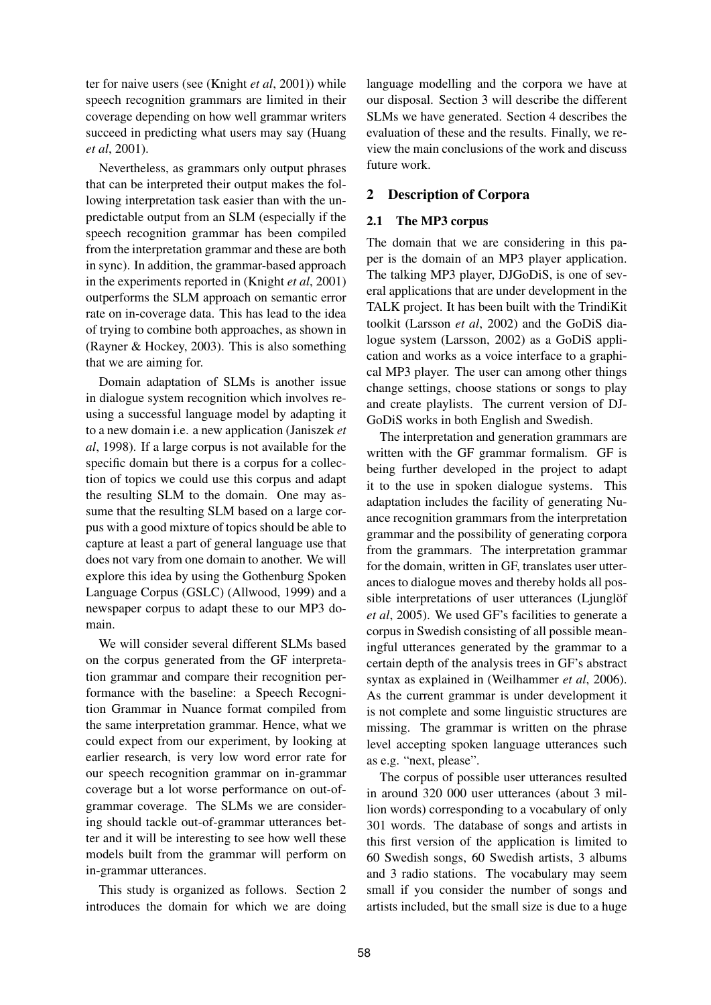ter for naive users (see (Knight *et al*, 2001)) while speech recognition grammars are limited in their coverage depending on how well grammar writers succeed in predicting what users may say (Huang *et al*, 2001).

Nevertheless, as grammars only output phrases that can be interpreted their output makes the following interpretation task easier than with the unpredictable output from an SLM (especially if the speech recognition grammar has been compiled from the interpretation grammar and these are both in sync). In addition, the grammar-based approach in the experiments reported in (Knight *et al*, 2001) outperforms the SLM approach on semantic error rate on in-coverage data. This has lead to the idea of trying to combine both approaches, as shown in (Rayner & Hockey, 2003). This is also something that we are aiming for.

Domain adaptation of SLMs is another issue in dialogue system recognition which involves reusing a successful language model by adapting it to a new domain i.e. a new application (Janiszek *et al*, 1998). If a large corpus is not available for the specific domain but there is a corpus for a collection of topics we could use this corpus and adapt the resulting SLM to the domain. One may assume that the resulting SLM based on a large corpus with a good mixture of topics should be able to capture at least a part of general language use that does not vary from one domain to another. We will explore this idea by using the Gothenburg Spoken Language Corpus (GSLC) (Allwood, 1999) and a newspaper corpus to adapt these to our MP3 domain.

We will consider several different SLMs based on the corpus generated from the GF interpretation grammar and compare their recognition performance with the baseline: a Speech Recognition Grammar in Nuance format compiled from the same interpretation grammar. Hence, what we could expect from our experiment, by looking at earlier research, is very low word error rate for our speech recognition grammar on in-grammar coverage but a lot worse performance on out-ofgrammar coverage. The SLMs we are considering should tackle out-of-grammar utterances better and it will be interesting to see how well these models built from the grammar will perform on in-grammar utterances.

This study is organized as follows. Section 2 introduces the domain for which we are doing language modelling and the corpora we have at our disposal. Section 3 will describe the different SLMs we have generated. Section 4 describes the evaluation of these and the results. Finally, we review the main conclusions of the work and discuss future work.

## **2 Description of Corpora**

### **2.1 The MP3 corpus**

The domain that we are considering in this paper is the domain of an MP3 player application. The talking MP3 player, DJGoDiS, is one of several applications that are under development in the TALK project. It has been built with the TrindiKit toolkit (Larsson *et al*, 2002) and the GoDiS dialogue system (Larsson, 2002) as a GoDiS application and works as a voice interface to a graphical MP3 player. The user can among other things change settings, choose stations or songs to play and create playlists. The current version of DJ-GoDiS works in both English and Swedish.

The interpretation and generation grammars are written with the GF grammar formalism. GF is being further developed in the project to adapt it to the use in spoken dialogue systems. This adaptation includes the facility of generating Nuance recognition grammars from the interpretation grammar and the possibility of generating corpora from the grammars. The interpretation grammar for the domain, written in GF, translates user utterances to dialogue moves and thereby holds all possible interpretations of user utterances (Ljunglöf *et al*, 2005). We used GF's facilities to generate a corpus in Swedish consisting of all possible meaningful utterances generated by the grammar to a certain depth of the analysis trees in GF's abstract syntax as explained in (Weilhammer *et al*, 2006). As the current grammar is under development it is not complete and some linguistic structures are missing. The grammar is written on the phrase level accepting spoken language utterances such as e.g. "next, please".

The corpus of possible user utterances resulted in around 320 000 user utterances (about 3 million words) corresponding to a vocabulary of only 301 words. The database of songs and artists in this first version of the application is limited to 60 Swedish songs, 60 Swedish artists, 3 albums and 3 radio stations. The vocabulary may seem small if you consider the number of songs and artists included, but the small size is due to a huge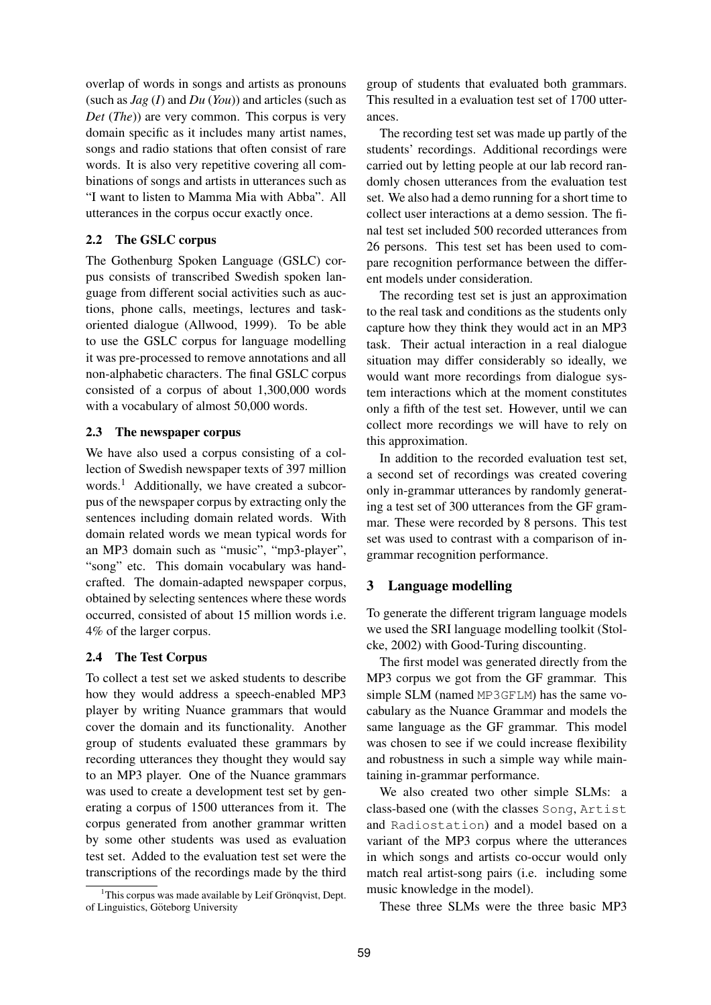overlap of words in songs and artists as pronouns (such as *Jag* (*I*) and *Du* (*You*)) and articles (such as *Det* (*The*)) are very common. This corpus is very domain specific as it includes many artist names, songs and radio stations that often consist of rare words. It is also very repetitive covering all combinations of songs and artists in utterances such as "I want to listen to Mamma Mia with Abba". All utterances in the corpus occur exactly once.

## **2.2 The GSLC corpus**

The Gothenburg Spoken Language (GSLC) corpus consists of transcribed Swedish spoken language from different social activities such as auctions, phone calls, meetings, lectures and taskoriented dialogue (Allwood, 1999). To be able to use the GSLC corpus for language modelling it was pre-processed to remove annotations and all non-alphabetic characters. The final GSLC corpus consisted of a corpus of about 1,300,000 words with a vocabulary of almost 50,000 words.

#### **2.3 The newspaper corpus**

We have also used a corpus consisting of a collection of Swedish newspaper texts of 397 million words.<sup>1</sup> Additionally, we have created a subcorpus of the newspaper corpus by extracting only the sentences including domain related words. With domain related words we mean typical words for an MP3 domain such as "music", "mp3-player", "song" etc. This domain vocabulary was handcrafted. The domain-adapted newspaper corpus, obtained by selecting sentences where these words occurred, consisted of about 15 million words i.e. 4% of the larger corpus.

## **2.4 The Test Corpus**

To collect a test set we asked students to describe how they would address a speech-enabled MP3 player by writing Nuance grammars that would cover the domain and its functionality. Another group of students evaluated these grammars by recording utterances they thought they would say to an MP3 player. One of the Nuance grammars was used to create a development test set by generating a corpus of 1500 utterances from it. The corpus generated from another grammar written by some other students was used as evaluation test set. Added to the evaluation test set were the transcriptions of the recordings made by the third

 $1$ This corpus was made available by Leif Grönqvist, Dept. of Linguistics, Göteborg University

group of students that evaluated both grammars. This resulted in a evaluation test set of 1700 utterances.

The recording test set was made up partly of the students' recordings. Additional recordings were carried out by letting people at our lab record randomly chosen utterances from the evaluation test set. We also had a demo running for a short time to collect user interactions at a demo session. The final test set included 500 recorded utterances from 26 persons. This test set has been used to compare recognition performance between the different models under consideration.

The recording test set is just an approximation to the real task and conditions as the students only capture how they think they would act in an MP3 task. Their actual interaction in a real dialogue situation may differ considerably so ideally, we would want more recordings from dialogue system interactions which at the moment constitutes only a fifth of the test set. However, until we can collect more recordings we will have to rely on this approximation.

In addition to the recorded evaluation test set, a second set of recordings was created covering only in-grammar utterances by randomly generating a test set of 300 utterances from the GF grammar. These were recorded by 8 persons. This test set was used to contrast with a comparison of ingrammar recognition performance.

#### **3 Language modelling**

To generate the different trigram language models we used the SRI language modelling toolkit (Stolcke, 2002) with Good-Turing discounting.

The first model was generated directly from the MP3 corpus we got from the GF grammar. This simple SLM (named MP3GFLM) has the same vocabulary as the Nuance Grammar and models the same language as the GF grammar. This model was chosen to see if we could increase flexibility and robustness in such a simple way while maintaining in-grammar performance.

We also created two other simple SLMs: a class-based one (with the classes Song, Artist and Radiostation) and a model based on a variant of the MP3 corpus where the utterances in which songs and artists co-occur would only match real artist-song pairs (i.e. including some music knowledge in the model).

These three SLMs were the three basic MP3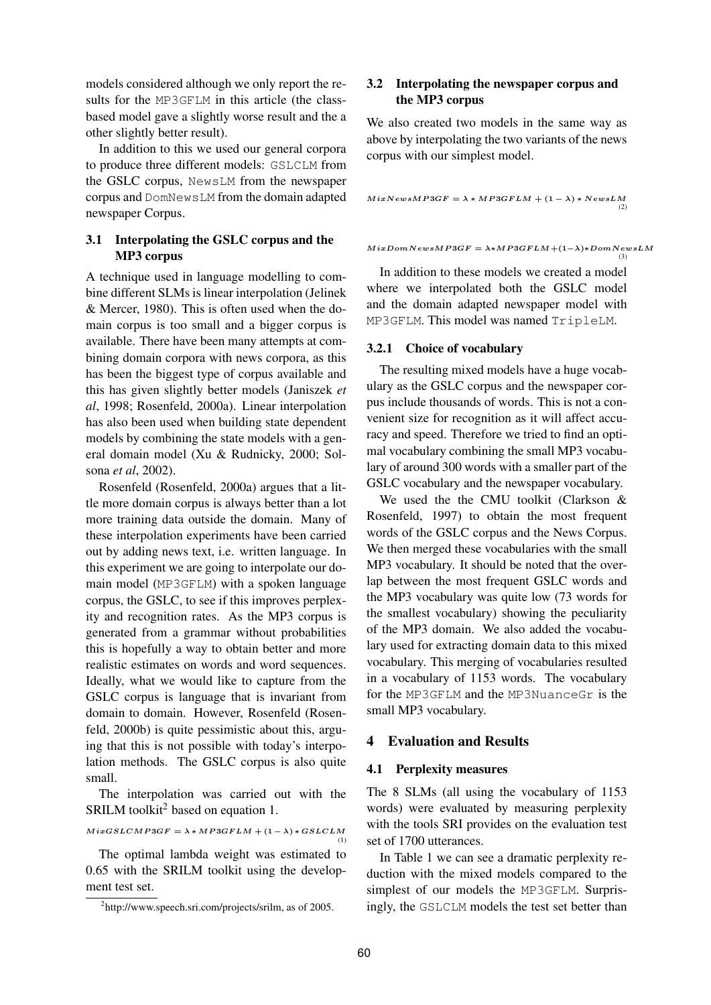models considered although we only report the results for the MP3GFLM in this article (the classbased model gave a slightly worse result and the a other slightly better result).

In addition to this we used our general corpora to produce three different models: GSLCLM from the GSLC corpus, NewsLM from the newspaper corpus and DomNewsLM from the domain adapted newspaper Corpus.

## **3.1 Interpolating the GSLC corpus and the MP3 corpus**

A technique used in language modelling to combine different SLMs is linear interpolation (Jelinek & Mercer, 1980). This is often used when the domain corpus is too small and a bigger corpus is available. There have been many attempts at combining domain corpora with news corpora, as this has been the biggest type of corpus available and this has given slightly better models (Janiszek *et al*, 1998; Rosenfeld, 2000a). Linear interpolation has also been used when building state dependent models by combining the state models with a general domain model (Xu & Rudnicky, 2000; Solsona *et al*, 2002).

Rosenfeld (Rosenfeld, 2000a) argues that a little more domain corpus is always better than a lot more training data outside the domain. Many of these interpolation experiments have been carried out by adding news text, i.e. written language. In this experiment we are going to interpolate our domain model (MP3GFLM) with a spoken language corpus, the GSLC, to see if this improves perplexity and recognition rates. As the MP3 corpus is generated from a grammar without probabilities this is hopefully a way to obtain better and more realistic estimates on words and word sequences. Ideally, what we would like to capture from the GSLC corpus is language that is invariant from domain to domain. However, Rosenfeld (Rosenfeld, 2000b) is quite pessimistic about this, arguing that this is not possible with today's interpolation methods. The GSLC corpus is also quite small.

The interpolation was carried out with the SRILM toolkit<sup>2</sup> based on equation 1.

$$
MixGSLCMP3GF = \lambda * MP3GFLM + (1 - \lambda) * GSLCLM
$$
<sup>(1)</sup>

The optimal lambda weight was estimated to 0.65 with the SRILM toolkit using the development test set.

## **3.2 Interpolating the newspaper corpus and the MP3 corpus**

We also created two models in the same way as above by interpolating the two variants of the news corpus with our simplest model.

 $MixNewsMP3GF = \lambda * MP3GFLM + (1 - \lambda) * NewsLM$ (2)

 $M$ ixDomNewsMP3GF =  $\lambda * MP3GFLM+(1-\lambda)*DomNewsLM$ 

(3)

In addition to these models we created a model where we interpolated both the GSLC model and the domain adapted newspaper model with MP3GFLM. This model was named TripleLM.

#### **3.2.1 Choice of vocabulary**

The resulting mixed models have a huge vocabulary as the GSLC corpus and the newspaper corpus include thousands of words. This is not a convenient size for recognition as it will affect accuracy and speed. Therefore we tried to find an optimal vocabulary combining the small MP3 vocabulary of around 300 words with a smaller part of the GSLC vocabulary and the newspaper vocabulary.

We used the the CMU toolkit (Clarkson & Rosenfeld, 1997) to obtain the most frequent words of the GSLC corpus and the News Corpus. We then merged these vocabularies with the small MP3 vocabulary. It should be noted that the overlap between the most frequent GSLC words and the MP3 vocabulary was quite low (73 words for the smallest vocabulary) showing the peculiarity of the MP3 domain. We also added the vocabulary used for extracting domain data to this mixed vocabulary. This merging of vocabularies resulted in a vocabulary of 1153 words. The vocabulary for the MP3GFLM and the MP3NuanceGr is the small MP3 vocabulary.

## **4 Evaluation and Results**

#### **4.1 Perplexity measures**

The 8 SLMs (all using the vocabulary of 1153 words) were evaluated by measuring perplexity with the tools SRI provides on the evaluation test set of 1700 utterances.

In Table 1 we can see a dramatic perplexity reduction with the mixed models compared to the simplest of our models the MP3GFLM. Surprisingly, the GSLCLM models the test set better than

<sup>&</sup>lt;sup>2</sup>http://www.speech.sri.com/projects/srilm, as of 2005.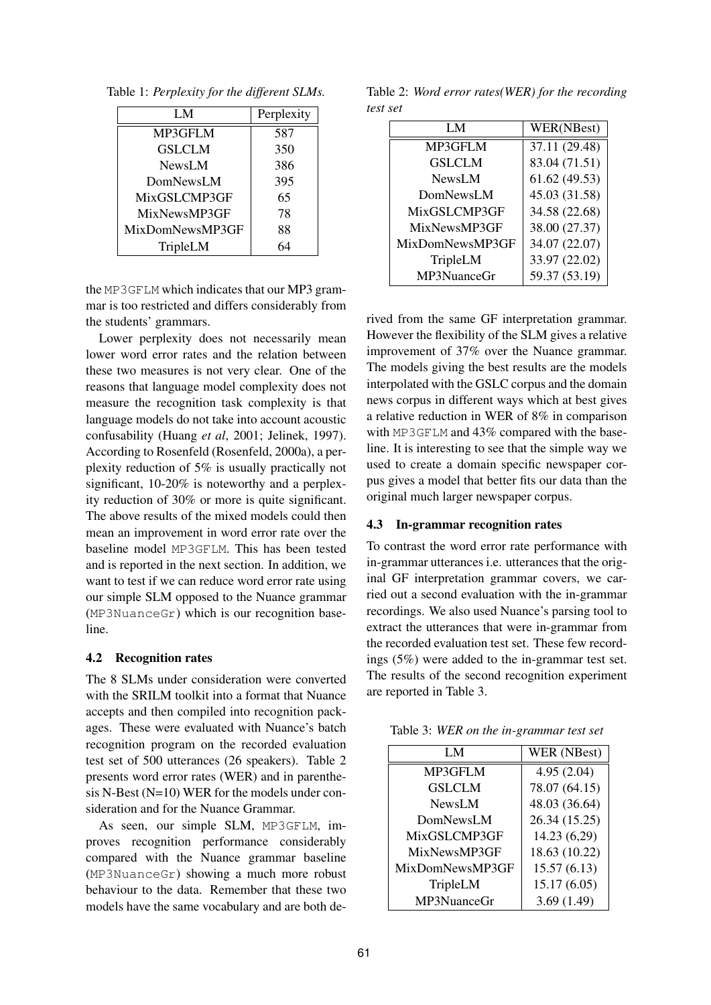Table 1: *Perplexity for the different SLMs.*

| LM              | Perplexity |
|-----------------|------------|
| MP3GFLM         | 587        |
| <b>GSLCLM</b>   | 350        |
| NewsLM          | 386        |
| DomNewsLM       | 395        |
| MixGSLCMP3GF    | 65         |
| MixNewsMP3GF    | 78         |
| MixDomNewsMP3GF | 88         |
| TripleLM        | 54         |

the MP3GFLM which indicates that our MP3 grammar is too restricted and differs considerably from the students' grammars.

Lower perplexity does not necessarily mean lower word error rates and the relation between these two measures is not very clear. One of the reasons that language model complexity does not measure the recognition task complexity is that language models do not take into account acoustic confusability (Huang *et al*, 2001; Jelinek, 1997). According to Rosenfeld (Rosenfeld, 2000a), a perplexity reduction of 5% is usually practically not significant, 10-20% is noteworthy and a perplexity reduction of 30% or more is quite significant. The above results of the mixed models could then mean an improvement in word error rate over the baseline model MP3GFLM. This has been tested and is reported in the next section. In addition, we want to test if we can reduce word error rate using our simple SLM opposed to the Nuance grammar (MP3NuanceGr) which is our recognition baseline.

#### **4.2 Recognition rates**

The 8 SLMs under consideration were converted with the SRILM toolkit into a format that Nuance accepts and then compiled into recognition packages. These were evaluated with Nuance's batch recognition program on the recorded evaluation test set of 500 utterances (26 speakers). Table 2 presents word error rates (WER) and in parenthesis N-Best (N=10) WER for the models under consideration and for the Nuance Grammar.

As seen, our simple SLM, MP3GFLM, improves recognition performance considerably compared with the Nuance grammar baseline (MP3NuanceGr) showing a much more robust behaviour to the data. Remember that these two models have the same vocabulary and are both de-

Table 2: *Word error rates(WER) for the recording test set*

| LM              | WER(NBest)    |
|-----------------|---------------|
| MP3GFLM         | 37.11 (29.48) |
| <b>GSLCLM</b>   | 83.04 (71.51) |
| <b>NewsLM</b>   | 61.62(49.53)  |
| DomNewsLM       | 45.03 (31.58) |
| MixGSLCMP3GF    | 34.58 (22.68) |
| MixNewsMP3GF    | 38.00 (27.37) |
| MixDomNewsMP3GF | 34.07 (22.07) |
| TripleLM        | 33.97 (22.02) |
| MP3NuanceGr     | 59.37 (53.19) |

rived from the same GF interpretation grammar. However the flexibility of the SLM gives a relative improvement of 37% over the Nuance grammar. The models giving the best results are the models interpolated with the GSLC corpus and the domain news corpus in different ways which at best gives a relative reduction in WER of 8% in comparison with MP3GFLM and 43% compared with the baseline. It is interesting to see that the simple way we used to create a domain specific newspaper corpus gives a model that better fits our data than the original much larger newspaper corpus.

### **4.3 In-grammar recognition rates**

To contrast the word error rate performance with in-grammar utterances i.e. utterances that the original GF interpretation grammar covers, we carried out a second evaluation with the in-grammar recordings. We also used Nuance's parsing tool to extract the utterances that were in-grammar from the recorded evaluation test set. These few recordings (5%) were added to the in-grammar test set. The results of the second recognition experiment are reported in Table 3.

| LM              | WER (NBest)   |
|-----------------|---------------|
| MP3GFLM         | 4.95(2.04)    |
| <b>GSLCLM</b>   | 78.07 (64.15) |
| NewsLM          | 48.03 (36.64) |
| DomNewsLM       | 26.34 (15.25) |
| MixGSLCMP3GF    | 14.23 (6,29)  |
| MixNewsMP3GF    | 18.63 (10.22) |
| MixDomNewsMP3GF | 15.57(6.13)   |
| TripleLM        | 15.17(6.05)   |
| MP3NuanceGr     | 3.69(1.49)    |

Table 3: *WER on the in-grammar test set*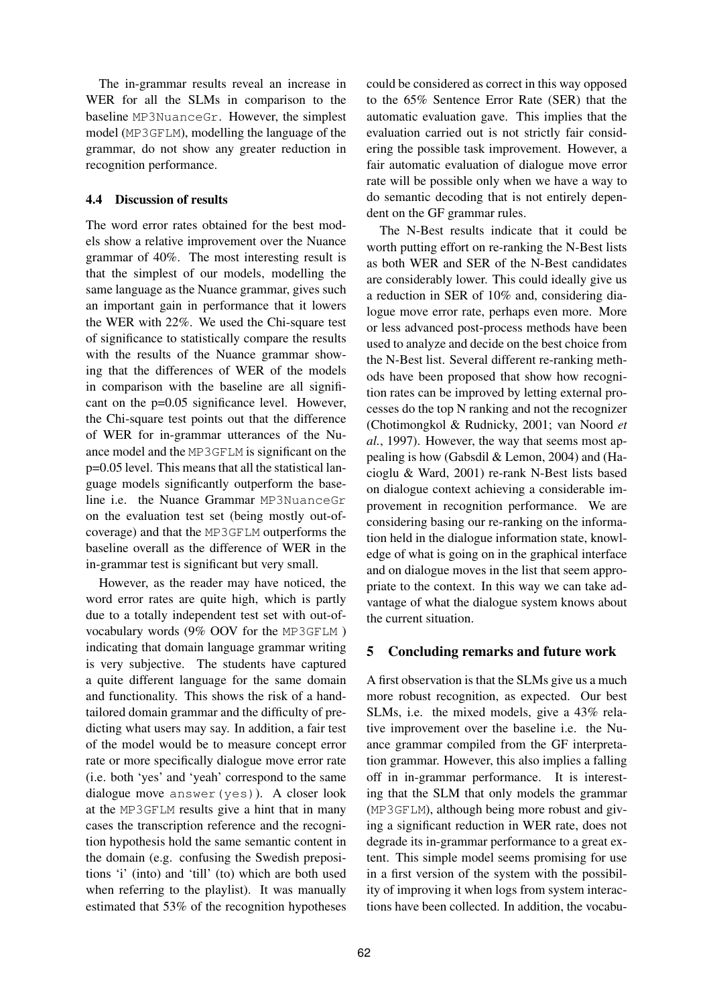The in-grammar results reveal an increase in WER for all the SLMs in comparison to the baseline MP3NuanceGr. However, the simplest model (MP3GFLM), modelling the language of the grammar, do not show any greater reduction in recognition performance.

### **4.4 Discussion of results**

The word error rates obtained for the best models show a relative improvement over the Nuance grammar of 40%. The most interesting result is that the simplest of our models, modelling the same language as the Nuance grammar, gives such an important gain in performance that it lowers the WER with 22%. We used the Chi-square test of significance to statistically compare the results with the results of the Nuance grammar showing that the differences of WER of the models in comparison with the baseline are all significant on the p=0.05 significance level. However, the Chi-square test points out that the difference of WER for in-grammar utterances of the Nuance model and the MP3GFLM is significant on the p=0.05 level. This means that all the statistical language models significantly outperform the baseline i.e. the Nuance Grammar MP3NuanceGr on the evaluation test set (being mostly out-ofcoverage) and that the MP3GFLM outperforms the baseline overall as the difference of WER in the in-grammar test is significant but very small.

However, as the reader may have noticed, the word error rates are quite high, which is partly due to a totally independent test set with out-ofvocabulary words (9% OOV for the MP3GFLM ) indicating that domain language grammar writing is very subjective. The students have captured a quite different language for the same domain and functionality. This shows the risk of a handtailored domain grammar and the difficulty of predicting what users may say. In addition, a fair test of the model would be to measure concept error rate or more specifically dialogue move error rate (i.e. both 'yes' and 'yeah' correspond to the same dialogue move answer(yes)). A closer look at the MP3GFLM results give a hint that in many cases the transcription reference and the recognition hypothesis hold the same semantic content in the domain (e.g. confusing the Swedish prepositions 'i' (into) and 'till' (to) which are both used when referring to the playlist). It was manually estimated that 53% of the recognition hypotheses could be considered as correct in this way opposed to the 65% Sentence Error Rate (SER) that the automatic evaluation gave. This implies that the evaluation carried out is not strictly fair considering the possible task improvement. However, a fair automatic evaluation of dialogue move error rate will be possible only when we have a way to do semantic decoding that is not entirely dependent on the GF grammar rules.

The N-Best results indicate that it could be worth putting effort on re-ranking the N-Best lists as both WER and SER of the N-Best candidates are considerably lower. This could ideally give us a reduction in SER of 10% and, considering dialogue move error rate, perhaps even more. More or less advanced post-process methods have been used to analyze and decide on the best choice from the N-Best list. Several different re-ranking methods have been proposed that show how recognition rates can be improved by letting external processes do the top N ranking and not the recognizer (Chotimongkol & Rudnicky, 2001; van Noord *et al.*, 1997). However, the way that seems most appealing is how (Gabsdil & Lemon, 2004) and (Hacioglu & Ward, 2001) re-rank N-Best lists based on dialogue context achieving a considerable improvement in recognition performance. We are considering basing our re-ranking on the information held in the dialogue information state, knowledge of what is going on in the graphical interface and on dialogue moves in the list that seem appropriate to the context. In this way we can take advantage of what the dialogue system knows about the current situation.

### **5 Concluding remarks and future work**

A first observation is that the SLMs give us a much more robust recognition, as expected. Our best SLMs, i.e. the mixed models, give a 43% relative improvement over the baseline i.e. the Nuance grammar compiled from the GF interpretation grammar. However, this also implies a falling off in in-grammar performance. It is interesting that the SLM that only models the grammar (MP3GFLM), although being more robust and giving a significant reduction in WER rate, does not degrade its in-grammar performance to a great extent. This simple model seems promising for use in a first version of the system with the possibility of improving it when logs from system interactions have been collected. In addition, the vocabu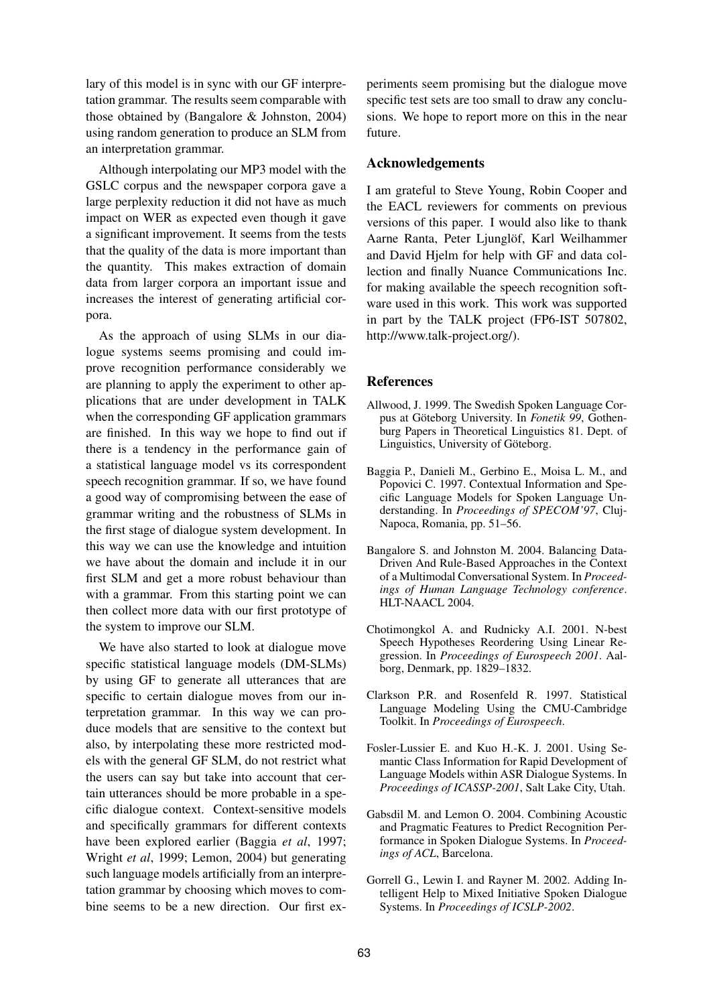lary of this model is in sync with our GF interpretation grammar. The results seem comparable with those obtained by (Bangalore & Johnston, 2004) using random generation to produce an SLM from an interpretation grammar.

Although interpolating our MP3 model with the GSLC corpus and the newspaper corpora gave a large perplexity reduction it did not have as much impact on WER as expected even though it gave a significant improvement. It seems from the tests that the quality of the data is more important than the quantity. This makes extraction of domain data from larger corpora an important issue and increases the interest of generating artificial corpora.

As the approach of using SLMs in our dialogue systems seems promising and could improve recognition performance considerably we are planning to apply the experiment to other applications that are under development in TALK when the corresponding GF application grammars are finished. In this way we hope to find out if there is a tendency in the performance gain of a statistical language model vs its correspondent speech recognition grammar. If so, we have found a good way of compromising between the ease of grammar writing and the robustness of SLMs in the first stage of dialogue system development. In this way we can use the knowledge and intuition we have about the domain and include it in our first SLM and get a more robust behaviour than with a grammar. From this starting point we can then collect more data with our first prototype of the system to improve our SLM.

We have also started to look at dialogue move specific statistical language models (DM-SLMs) by using GF to generate all utterances that are specific to certain dialogue moves from our interpretation grammar. In this way we can produce models that are sensitive to the context but also, by interpolating these more restricted models with the general GF SLM, do not restrict what the users can say but take into account that certain utterances should be more probable in a specific dialogue context. Context-sensitive models and specifically grammars for different contexts have been explored earlier (Baggia *et al*, 1997; Wright *et al*, 1999; Lemon, 2004) but generating such language models artificially from an interpretation grammar by choosing which moves to combine seems to be a new direction. Our first experiments seem promising but the dialogue move specific test sets are too small to draw any conclusions. We hope to report more on this in the near future.

#### **Acknowledgements**

I am grateful to Steve Young, Robin Cooper and the EACL reviewers for comments on previous versions of this paper. I would also like to thank Aarne Ranta, Peter Ljunglöf, Karl Weilhammer and David Hjelm for help with GF and data collection and finally Nuance Communications Inc. for making available the speech recognition software used in this work. This work was supported in part by the TALK project (FP6-IST 507802, http://www.talk-project.org/).

#### **References**

- Allwood, J. 1999. The Swedish Spoken Language Corpus at Göteborg University. In *Fonetik 99*, Gothenburg Papers in Theoretical Linguistics 81. Dept. of Linguistics, University of Göteborg.
- Baggia P., Danieli M., Gerbino E., Moisa L. M., and Popovici C. 1997. Contextual Information and Specific Language Models for Spoken Language Understanding. In *Proceedings of SPECOM'97*, Cluj-Napoca, Romania, pp. 51–56.
- Bangalore S. and Johnston M. 2004. Balancing Data-Driven And Rule-Based Approaches in the Context of a Multimodal Conversational System. In *Proceedings of Human Language Technology conference*. HLT-NAACL 2004.
- Chotimongkol A. and Rudnicky A.I. 2001. N-best Speech Hypotheses Reordering Using Linear Regression. In *Proceedings of Eurospeech 2001*. Aalborg, Denmark, pp. 1829–1832.
- Clarkson P.R. and Rosenfeld R. 1997. Statistical Language Modeling Using the CMU-Cambridge Toolkit. In *Proceedings of Eurospeech*.
- Fosler-Lussier E. and Kuo H.-K. J. 2001. Using Semantic Class Information for Rapid Development of Language Models within ASR Dialogue Systems. In *Proceedings of ICASSP-2001*, Salt Lake City, Utah.
- Gabsdil M. and Lemon O. 2004. Combining Acoustic and Pragmatic Features to Predict Recognition Performance in Spoken Dialogue Systems. In *Proceedings of ACL*, Barcelona.
- Gorrell G., Lewin I. and Rayner M. 2002. Adding Intelligent Help to Mixed Initiative Spoken Dialogue Systems. In *Proceedings of ICSLP-2002*.